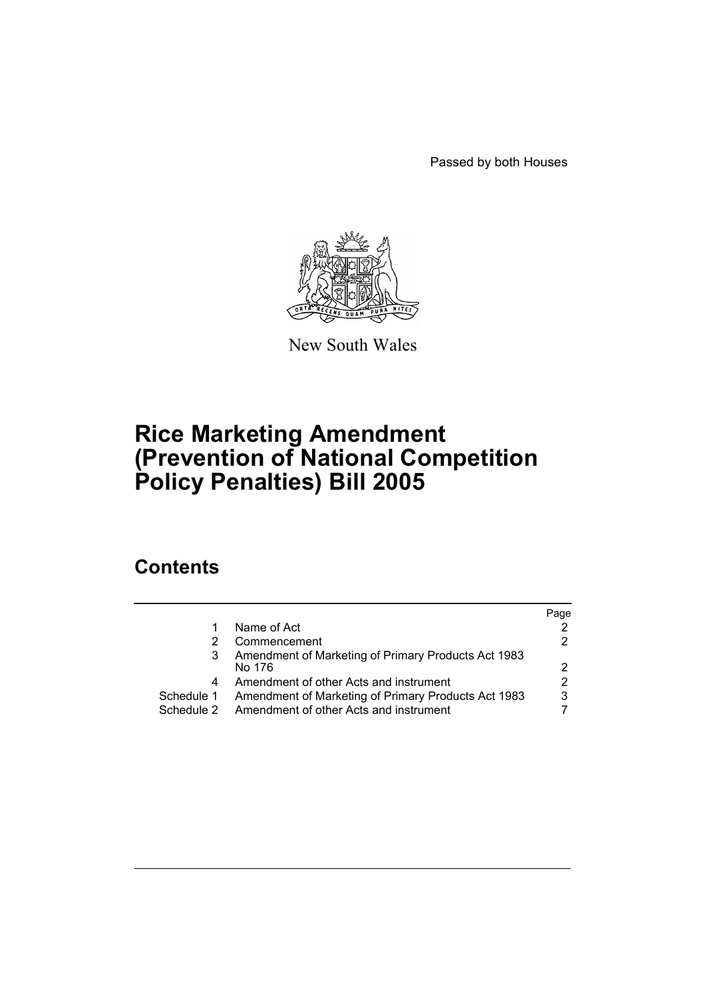Passed by both Houses



New South Wales

# **Rice Marketing Amendment (Prevention of National Competition Policy Penalties) Bill 2005**

# **Contents**

|            |                                                               | Page |
|------------|---------------------------------------------------------------|------|
|            | Name of Act                                                   |      |
|            | Commencement                                                  |      |
|            | Amendment of Marketing of Primary Products Act 1983<br>No 176 |      |
| 4          | Amendment of other Acts and instrument                        |      |
| Schedule 1 | Amendment of Marketing of Primary Products Act 1983           | 3    |
| Schedule 2 | Amendment of other Acts and instrument                        |      |
|            |                                                               |      |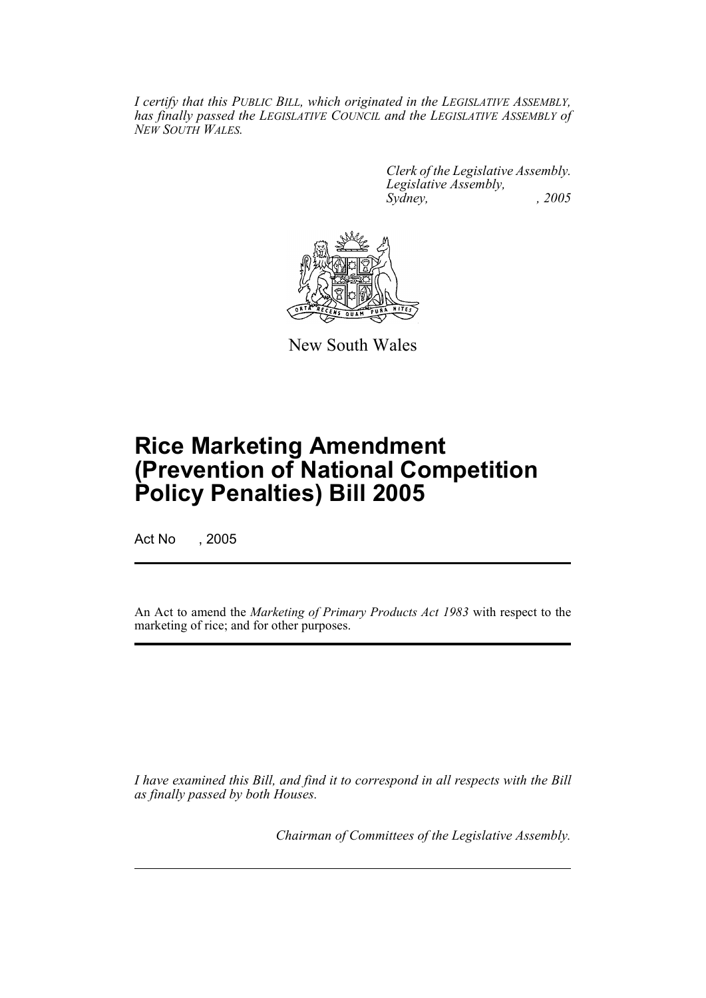*I certify that this PUBLIC BILL, which originated in the LEGISLATIVE ASSEMBLY, has finally passed the LEGISLATIVE COUNCIL and the LEGISLATIVE ASSEMBLY of NEW SOUTH WALES.*

> *Clerk of the Legislative Assembly. Legislative Assembly, Sydney, , 2005*



New South Wales

# **Rice Marketing Amendment (Prevention of National Competition Policy Penalties) Bill 2005**

Act No , 2005

An Act to amend the *Marketing of Primary Products Act 1983* with respect to the marketing of rice; and for other purposes.

*I have examined this Bill, and find it to correspond in all respects with the Bill as finally passed by both Houses.*

*Chairman of Committees of the Legislative Assembly.*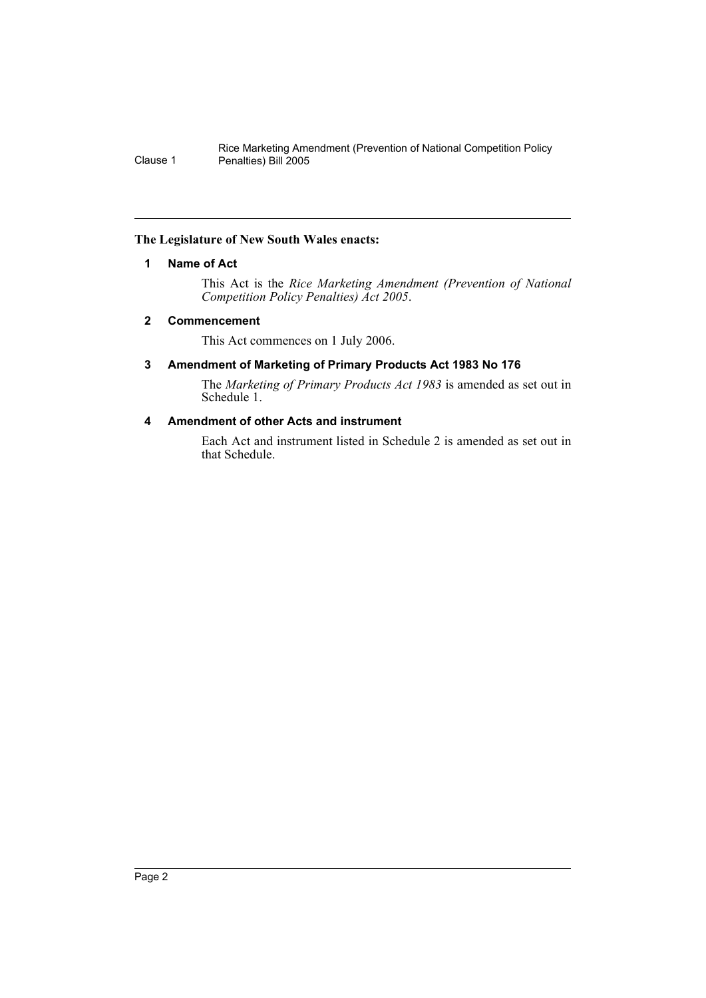#### **The Legislature of New South Wales enacts:**

#### **1 Name of Act**

This Act is the *Rice Marketing Amendment (Prevention of National Competition Policy Penalties) Act 2005*.

#### **2 Commencement**

This Act commences on 1 July 2006.

#### **3 Amendment of Marketing of Primary Products Act 1983 No 176**

The *Marketing of Primary Products Act 1983* is amended as set out in Schedule 1.

# **4 Amendment of other Acts and instrument**

Each Act and instrument listed in Schedule 2 is amended as set out in that Schedule.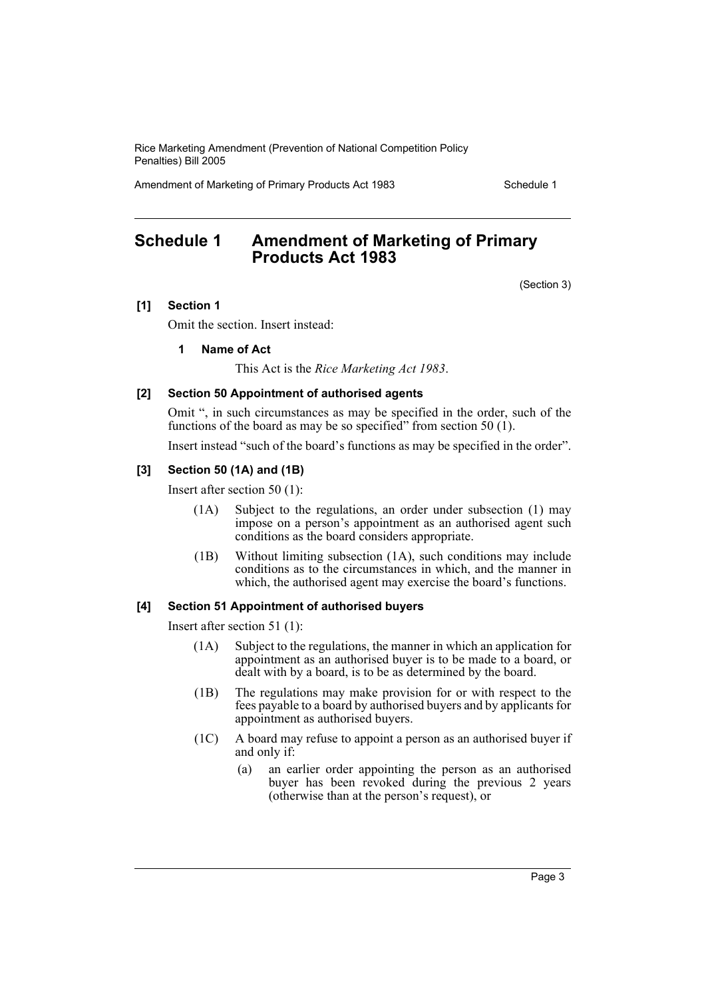Amendment of Marketing of Primary Products Act 1983 Schedule 1

# **Schedule 1 Amendment of Marketing of Primary Products Act 1983**

(Section 3)

#### **[1] Section 1**

Omit the section. Insert instead:

#### **1 Name of Act**

This Act is the *Rice Marketing Act 1983*.

#### **[2] Section 50 Appointment of authorised agents**

Omit ", in such circumstances as may be specified in the order, such of the functions of the board as may be so specified" from section 50 (1).

Insert instead "such of the board's functions as may be specified in the order".

#### **[3] Section 50 (1A) and (1B)**

Insert after section 50 (1):

- (1A) Subject to the regulations, an order under subsection (1) may impose on a person's appointment as an authorised agent such conditions as the board considers appropriate.
- (1B) Without limiting subsection (1A), such conditions may include conditions as to the circumstances in which, and the manner in which, the authorised agent may exercise the board's functions.

#### **[4] Section 51 Appointment of authorised buyers**

Insert after section 51 (1):

- (1A) Subject to the regulations, the manner in which an application for appointment as an authorised buyer is to be made to a board, or dealt with by a board, is to be as determined by the board.
- (1B) The regulations may make provision for or with respect to the fees payable to a board by authorised buyers and by applicants for appointment as authorised buyers.
- (1C) A board may refuse to appoint a person as an authorised buyer if and only if:
	- (a) an earlier order appointing the person as an authorised buyer has been revoked during the previous 2 years (otherwise than at the person's request), or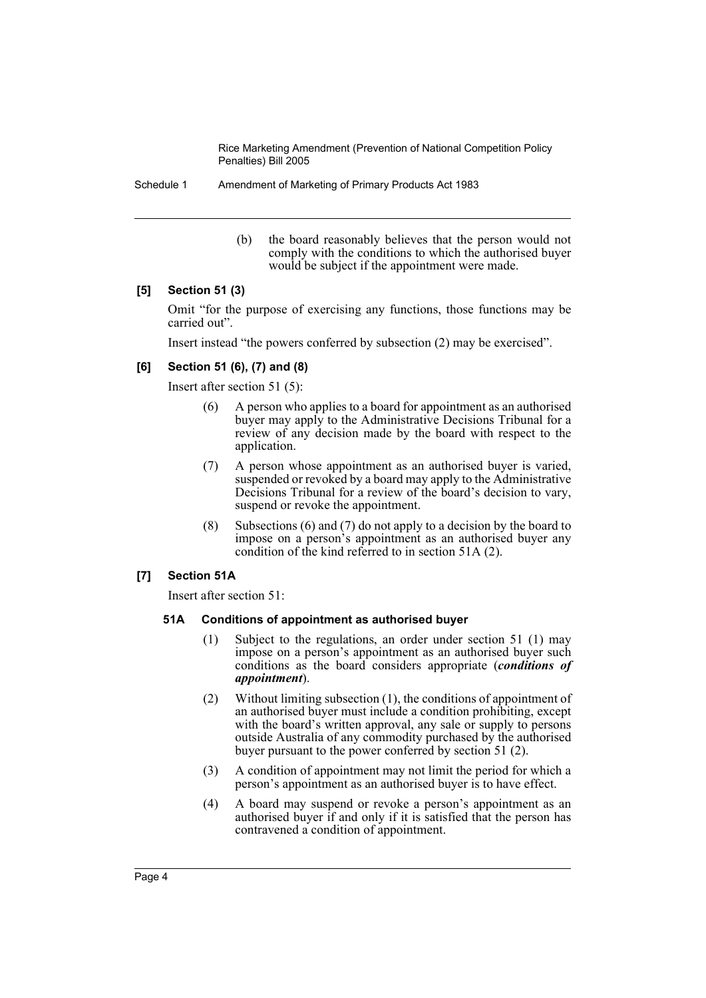Schedule 1 Amendment of Marketing of Primary Products Act 1983

(b) the board reasonably believes that the person would not comply with the conditions to which the authorised buyer would be subject if the appointment were made.

## **[5] Section 51 (3)**

Omit "for the purpose of exercising any functions, those functions may be carried out".

Insert instead "the powers conferred by subsection (2) may be exercised".

## **[6] Section 51 (6), (7) and (8)**

Insert after section 51 (5):

- (6) A person who applies to a board for appointment as an authorised buyer may apply to the Administrative Decisions Tribunal for a review of any decision made by the board with respect to the application.
- (7) A person whose appointment as an authorised buyer is varied, suspended or revoked by a board may apply to the Administrative Decisions Tribunal for a review of the board's decision to vary, suspend or revoke the appointment.
- (8) Subsections (6) and (7) do not apply to a decision by the board to impose on a person's appointment as an authorised buyer any condition of the kind referred to in section 51A (2).

#### **[7] Section 51A**

Insert after section 51:

#### **51A Conditions of appointment as authorised buyer**

- (1) Subject to the regulations, an order under section 51 (1) may impose on a person's appointment as an authorised buyer such conditions as the board considers appropriate (*conditions of appointment*).
- (2) Without limiting subsection (1), the conditions of appointment of an authorised buyer must include a condition prohibiting, except with the board's written approval, any sale or supply to persons outside Australia of any commodity purchased by the authorised buyer pursuant to the power conferred by section 51 (2).
- (3) A condition of appointment may not limit the period for which a person's appointment as an authorised buyer is to have effect.
- (4) A board may suspend or revoke a person's appointment as an authorised buyer if and only if it is satisfied that the person has contravened a condition of appointment.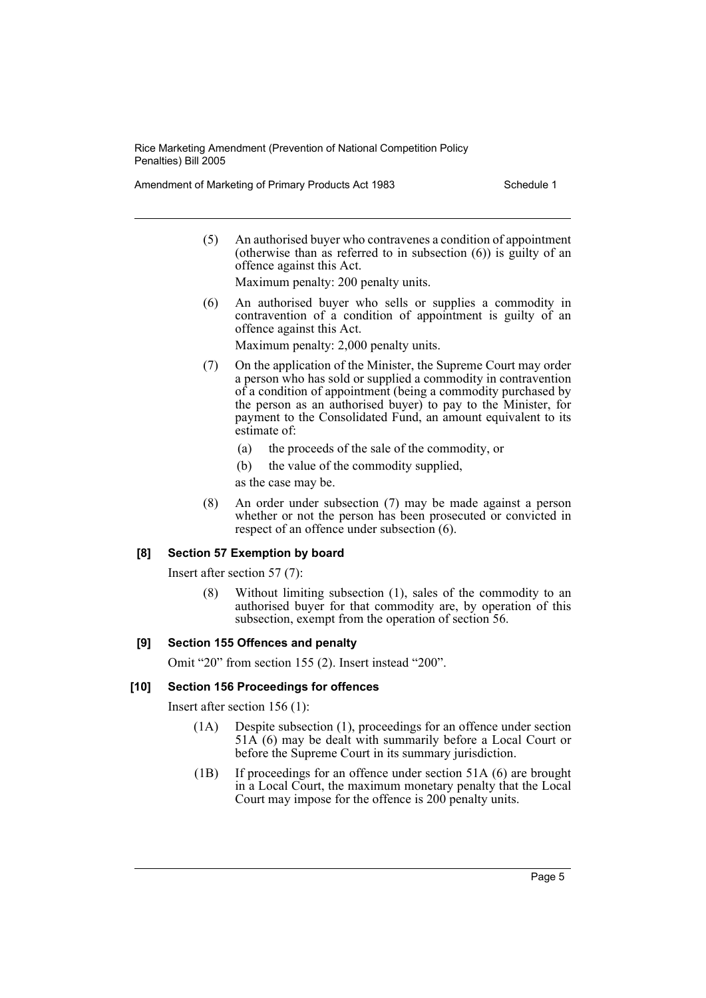Amendment of Marketing of Primary Products Act 1983 Schedule 1

(5) An authorised buyer who contravenes a condition of appointment (otherwise than as referred to in subsection  $(6)$ ) is guilty of an offence against this Act.

Maximum penalty: 200 penalty units.

(6) An authorised buyer who sells or supplies a commodity in contravention of a condition of appointment is guilty of an offence against this Act.

Maximum penalty: 2,000 penalty units.

- (7) On the application of the Minister, the Supreme Court may order a person who has sold or supplied a commodity in contravention of a condition of appointment (being a commodity purchased by the person as an authorised buyer) to pay to the Minister, for payment to the Consolidated Fund, an amount equivalent to its estimate of:
	- (a) the proceeds of the sale of the commodity, or
	- (b) the value of the commodity supplied,

as the case may be.

(8) An order under subsection (7) may be made against a person whether or not the person has been prosecuted or convicted in respect of an offence under subsection (6).

#### **[8] Section 57 Exemption by board**

Insert after section 57 (7):

(8) Without limiting subsection (1), sales of the commodity to an authorised buyer for that commodity are, by operation of this subsection, exempt from the operation of section 56.

#### **[9] Section 155 Offences and penalty**

Omit "20" from section 155 (2). Insert instead "200".

#### **[10] Section 156 Proceedings for offences**

Insert after section 156 (1):

- (1A) Despite subsection (1), proceedings for an offence under section 51A (6) may be dealt with summarily before a Local Court or before the Supreme Court in its summary jurisdiction.
- (1B) If proceedings for an offence under section 51A (6) are brought in a Local Court, the maximum monetary penalty that the Local Court may impose for the offence is 200 penalty units.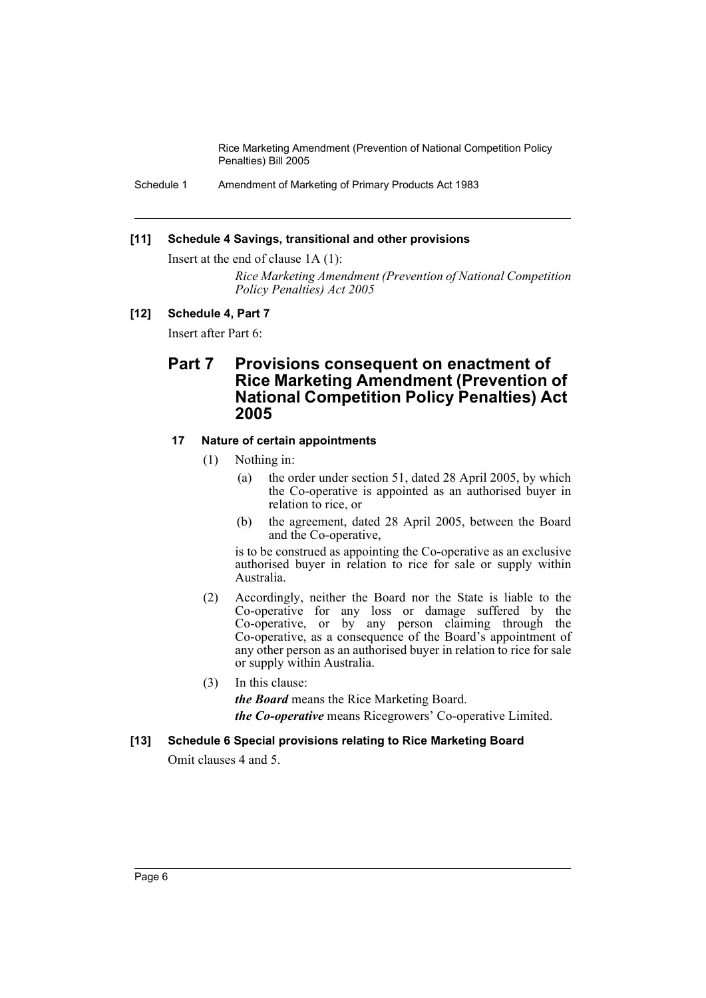Schedule 1 Amendment of Marketing of Primary Products Act 1983

#### **[11] Schedule 4 Savings, transitional and other provisions**

Insert at the end of clause 1A (1):

*Rice Marketing Amendment (Prevention of National Competition Policy Penalties) Act 2005*

#### **[12] Schedule 4, Part 7**

Insert after Part 6:

# **Part 7 Provisions consequent on enactment of Rice Marketing Amendment (Prevention of National Competition Policy Penalties) Act 2005**

#### **17 Nature of certain appointments**

- (1) Nothing in:
	- (a) the order under section 51, dated 28 April 2005, by which the Co-operative is appointed as an authorised buyer in relation to rice, or
	- (b) the agreement, dated 28 April 2005, between the Board and the Co-operative,

is to be construed as appointing the Co-operative as an exclusive authorised buyer in relation to rice for sale or supply within Australia.

(2) Accordingly, neither the Board nor the State is liable to the Co-operative for any loss or damage suffered by the Co-operative, or by any person claiming through the Co-operative, as a consequence of the Board's appointment of any other person as an authorised buyer in relation to rice for sale or supply within Australia.

(3) In this clause:

*the Board* means the Rice Marketing Board.

*the Co-operative* means Ricegrowers' Co-operative Limited.

#### **[13] Schedule 6 Special provisions relating to Rice Marketing Board**

Omit clauses 4 and 5.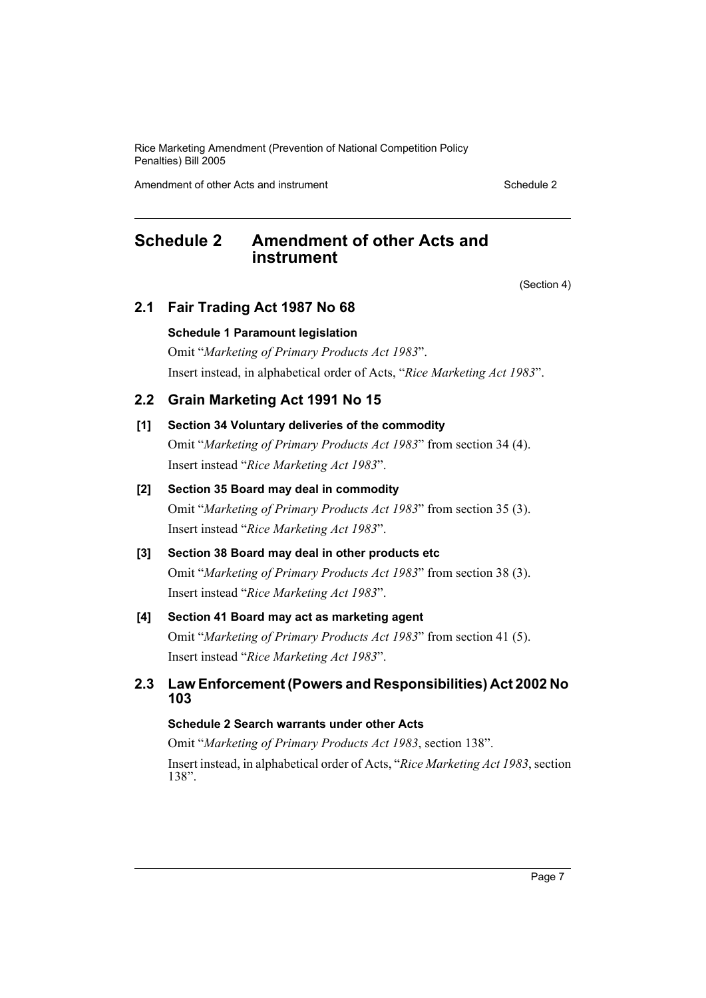Amendment of other Acts and instrument Schedule 2

# **Schedule 2 Amendment of other Acts and instrument**

(Section 4)

# **2.1 Fair Trading Act 1987 No 68**

## **Schedule 1 Paramount legislation**

Omit "*Marketing of Primary Products Act 1983*". Insert instead, in alphabetical order of Acts, "*Rice Marketing Act 1983*".

# **2.2 Grain Marketing Act 1991 No 15**

## **[1] Section 34 Voluntary deliveries of the commodity**

Omit "*Marketing of Primary Products Act 1983*" from section 34 (4). Insert instead "*Rice Marketing Act 1983*".

## **[2] Section 35 Board may deal in commodity**

Omit "*Marketing of Primary Products Act 1983*" from section 35 (3). Insert instead "*Rice Marketing Act 1983*".

# **[3] Section 38 Board may deal in other products etc**

Omit "*Marketing of Primary Products Act 1983*" from section 38 (3). Insert instead "*Rice Marketing Act 1983*".

# **[4] Section 41 Board may act as marketing agent**

Omit "*Marketing of Primary Products Act 1983*" from section 41 (5). Insert instead "*Rice Marketing Act 1983*".

# **2.3 Law Enforcement (Powers and Responsibilities) Act 2002 No 103**

# **Schedule 2 Search warrants under other Acts**

Omit "*Marketing of Primary Products Act 1983*, section 138".

Insert instead, in alphabetical order of Acts, "*Rice Marketing Act 1983*, section 138".